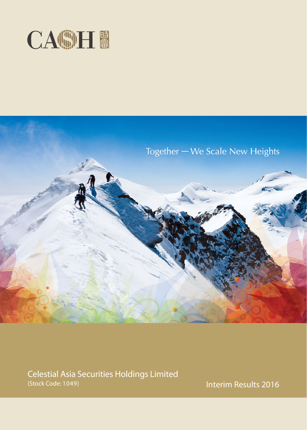



Celestial Asia Securities Holdings Limited (Stock Code: 1049)

Interim Results 2016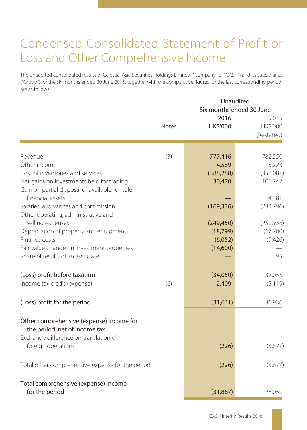## Condensed Consolidated Statement of Profit or Loss and Other Comprehensive Income

The unaudited consolidated results of Celestial Asia Securities Holdings Limited ("Company" or "CASH") and its subsidiaries ("Group") for the six months ended 30 June 2016, together with the comparative figures for the last corresponding period, are as follows:

|                                                                                                                                                                                                                                                                 | Unaudited<br>Six months ended 30 June |                                                              |                                                                 |  |
|-----------------------------------------------------------------------------------------------------------------------------------------------------------------------------------------------------------------------------------------------------------------|---------------------------------------|--------------------------------------------------------------|-----------------------------------------------------------------|--|
|                                                                                                                                                                                                                                                                 | <b>Notes</b>                          | 2016<br><b>HK\$'000</b>                                      | 2015<br>HK\$'000<br>(Restated)                                  |  |
| Revenue<br>Other income<br>Cost of inventories and services<br>Net gains on investments held for trading<br>Gain on partial disposal of available-for-sale                                                                                                      | (3)                                   | 777,416<br>4,589<br>(388, 288)<br>30,470                     | 782,550<br>5,223<br>(358,081)<br>105,747                        |  |
| financial assets<br>Salaries, allowances and commission<br>Other operating, administrative and<br>selling expenses<br>Depreciation of property and equipment<br>Finance costs<br>Fair value change on investment properties<br>Share of results of an associate |                                       | (169, 336)<br>(249, 450)<br>(18, 799)<br>(6,052)<br>(14,600) | 14,381<br>(234, 796)<br>(250, 938)<br>(17,700)<br>(9,426)<br>95 |  |
| (Loss) profit before taxation<br>Income tax credit (expense)                                                                                                                                                                                                    | (6)                                   | (34,050)<br>2,409                                            | 37,055<br>(5, 119)                                              |  |
| (Loss) profit for the period                                                                                                                                                                                                                                    |                                       | (31, 641)                                                    | 31,936                                                          |  |
| Other comprehensive (expense) income for<br>the period, net of income tax<br>Exchange difference on translation of<br>foreign operations                                                                                                                        |                                       | (226)                                                        | (3,877)                                                         |  |
| Total other comprehensive expense for the period                                                                                                                                                                                                                |                                       | (226)                                                        | (3,877)                                                         |  |
| Total comprehensive (expense) income<br>for the period                                                                                                                                                                                                          |                                       | (31, 867)                                                    | 28,059                                                          |  |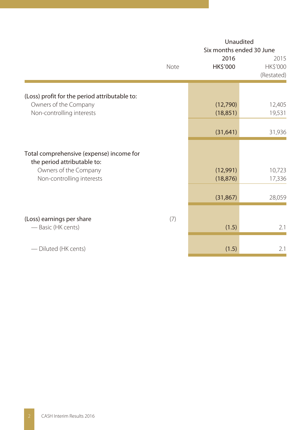|                                                                                                                               | Note | Unaudited<br>Six months ended 30 June<br>2016<br>HK\$'000 | 2015<br>HK\$'000 |
|-------------------------------------------------------------------------------------------------------------------------------|------|-----------------------------------------------------------|------------------|
|                                                                                                                               |      |                                                           | (Restated)       |
| (Loss) profit for the period attributable to:<br>Owners of the Company<br>Non-controlling interests                           |      | (12,790)<br>(18, 851)                                     | 12,405<br>19,531 |
|                                                                                                                               |      | (31, 641)                                                 | 31,936           |
| Total comprehensive (expense) income for<br>the period attributable to:<br>Owners of the Company<br>Non-controlling interests |      | (12,991)<br>(18, 876)                                     | 10,723<br>17,336 |
|                                                                                                                               |      | (31, 867)                                                 | 28,059           |
| (Loss) earnings per share<br>- Basic (HK cents)                                                                               | (7)  | (1.5)                                                     | 2.1              |
| - Diluted (HK cents)                                                                                                          |      | (1.5)                                                     | 2.1              |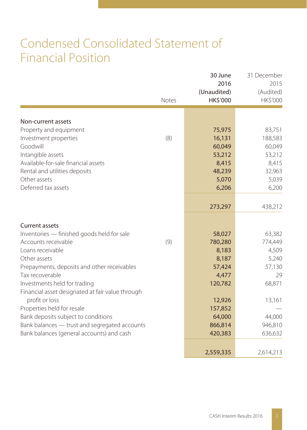## Condensed Consolidated Statement of Financial Position

|                                                  | Notes | 30 June<br>2016<br>(Unaudited)<br>HK\$'000 | 31 December<br>2015<br>(Audited)<br>HK\$'000 |
|--------------------------------------------------|-------|--------------------------------------------|----------------------------------------------|
|                                                  |       |                                            |                                              |
| Non-current assets<br>Property and equipment     |       | 75,975                                     | 83,751                                       |
| Investment properties                            | (8)   | 16,131                                     | 188,583                                      |
| Goodwill                                         |       | 60,049                                     | 60,049                                       |
| Intangible assets                                |       | 53,212                                     | 53,212                                       |
| Available-for-sale financial assets              |       | 8,415                                      | 8,415                                        |
| Rental and utilities deposits                    |       | 48,239                                     | 32,963                                       |
| Other assets                                     |       | 5,070                                      | 5,039                                        |
| Deferred tax assets                              |       | 6,206                                      | 6,200                                        |
|                                                  |       |                                            |                                              |
|                                                  |       | 273,297                                    | 438,212                                      |
| <b>Current assets</b>                            |       |                                            |                                              |
| Inventories - finished goods held for sale       |       | 58,027                                     | 63,382                                       |
| Accounts receivable                              | (9)   | 780,280                                    | 774,449                                      |
| Loans receivable                                 |       | 8,183                                      | 4,509                                        |
| Other assets                                     |       | 8,187                                      | 5,240                                        |
| Prepayments, deposits and other receivables      |       | 57,424                                     | 57,130                                       |
| Tax recoverable                                  |       | 4,477                                      | 29                                           |
| Investments held for trading                     |       | 120,782                                    | 68,871                                       |
| Financial asset designated at fair value through |       |                                            |                                              |
| profit or loss                                   |       | 12,926                                     | 13,161                                       |
| Properties held for resale                       |       | 157,852                                    |                                              |
| Bank deposits subject to conditions              |       | 64,000                                     | 44,000                                       |
| Bank balances - trust and segregated accounts    |       | 866,814                                    | 946,810                                      |
| Bank balances (general accounts) and cash        |       | 420,383                                    | 636,632                                      |
|                                                  |       | 2,559,335                                  | 2,614,213                                    |
|                                                  |       |                                            |                                              |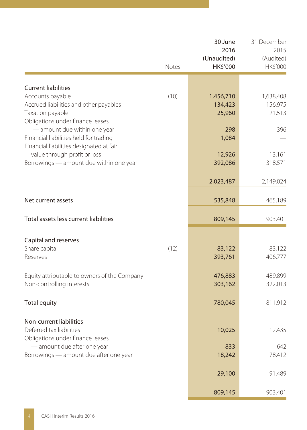|                                                                                                                     | Notes | 30 June<br>2016<br>(Unaudited)<br>HK\$'000 | 31 December<br>2015<br>(Audited)<br>HK\$'000 |
|---------------------------------------------------------------------------------------------------------------------|-------|--------------------------------------------|----------------------------------------------|
| <b>Current liabilities</b>                                                                                          |       |                                            |                                              |
| Accounts payable<br>Accrued liabilities and other payables<br>Taxation payable<br>Obligations under finance leases  | (10)  | 1,456,710<br>134,423<br>25,960             | 1,638,408<br>156,975<br>21,513               |
| - amount due within one year<br>Financial liabilities held for trading                                              |       | 298<br>1,084                               | 396                                          |
| Financial liabilities designated at fair<br>value through profit or loss<br>Borrowings - amount due within one year |       | 12,926<br>392,086                          | 13,161<br>318,571                            |
|                                                                                                                     |       | 2,023,487                                  | 2,149,024                                    |
| Net current assets                                                                                                  |       | 535,848                                    | 465,189                                      |
| Total assets less current liabilities                                                                               |       | 809,145                                    | 903,401                                      |
| Capital and reserves<br>Share capital<br>Reserves                                                                   | (12)  | 83,122<br>393,761                          | 83,122<br>406,777                            |
| Equity attributable to owners of the Company<br>Non-controlling interests                                           |       | 476,883<br>303,162                         | 489,899<br>322,013                           |
| <b>Total equity</b>                                                                                                 |       | 780,045                                    | 811,912                                      |
| Non-current liabilities<br>Deferred tax liabilities<br>Obligations under finance leases                             |       | 10,025                                     | 12,435                                       |
| - amount due after one year<br>Borrowings - amount due after one year                                               |       | 833<br>18,242                              | 642<br>78,412                                |
|                                                                                                                     |       | 29,100                                     | 91,489                                       |
|                                                                                                                     |       | 809,145                                    | 903,401                                      |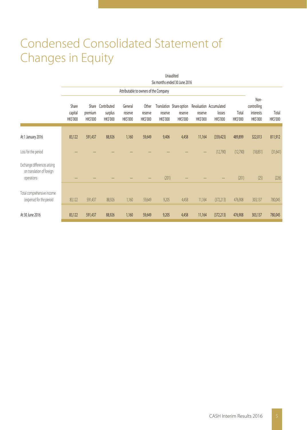# Condensed Consolidated Statement of Changes in Equity

|                                                                         | Unaudited                     |                     |                                          |                                |                                       |                     |                                                 |                     |                                               |                   |                                              |                   |
|-------------------------------------------------------------------------|-------------------------------|---------------------|------------------------------------------|--------------------------------|---------------------------------------|---------------------|-------------------------------------------------|---------------------|-----------------------------------------------|-------------------|----------------------------------------------|-------------------|
|                                                                         | Six months ended 30 June 2016 |                     |                                          |                                |                                       |                     |                                                 |                     |                                               |                   |                                              |                   |
|                                                                         |                               |                     |                                          |                                | Attributable to owners of the Company |                     |                                                 |                     |                                               |                   |                                              |                   |
|                                                                         | Share<br>capital<br>HK\$'000  | premium<br>HK\$'000 | Share Contributed<br>surplus<br>HK\$'000 | General<br>reserve<br>HK\$'000 | Other<br>reserve<br>HK\$'000          | reserve<br>HK\$'000 | Translation Share option<br>reserve<br>HK\$'000 | reserve<br>HK\$'000 | Revaluation Accumulated<br>losses<br>HK\$'000 | Total<br>HK\$'000 | Non-<br>controlling<br>interests<br>HK\$'000 | Total<br>HK\$'000 |
| At 1 January 2016                                                       | 83,122                        | 591,437             | 88,926                                   | 1,160                          | 59,649                                | 9,406               | 4,458                                           | 11,164              | (359, 423)                                    | 489,899           | 322,013                                      | 811,912           |
| Loss for the period                                                     |                               |                     |                                          |                                |                                       |                     |                                                 |                     | (12,790)                                      | (12,790)          | (18,851)                                     | (31,641)          |
| Exchange differences arising<br>on translation of foreign<br>operations |                               |                     |                                          |                                |                                       | (201)               |                                                 |                     |                                               | (201)             | (25)                                         | (226)             |
| Total comprehensive income<br>(expense) for the period                  | 83,122                        | 591,437             | 88,926                                   | 1,160                          | 59,649                                | 9,205               | 4,458                                           | 11,164              | (372, 213)                                    | 476,908           | 303,137                                      | 780,045           |
| At 30 June 2016                                                         | 83,122                        | 591,437             | 88,926                                   | 1,160                          | 59,649                                | 9,205               | 4,458                                           | 11,164              | (372, 213)                                    | 476,908           | 303,137                                      | 780,045           |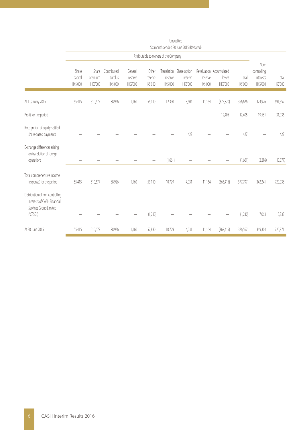|                                                                                                      | Six months ended 30 June 2015 (Restated) |                                    |                                          |                                |                              |                     |                                                 |                     |                                               |                   |                                              |                   |
|------------------------------------------------------------------------------------------------------|------------------------------------------|------------------------------------|------------------------------------------|--------------------------------|------------------------------|---------------------|-------------------------------------------------|---------------------|-----------------------------------------------|-------------------|----------------------------------------------|-------------------|
|                                                                                                      | Attributable to owners of the Company    |                                    |                                          |                                |                              |                     |                                                 |                     |                                               |                   |                                              |                   |
|                                                                                                      | Share<br>capital<br>HK\$'000             | Share<br>premium<br><b>HKS'000</b> | Contributed<br>surplus<br><b>HKS'000</b> | General<br>reserve<br>HK\$'000 | Other<br>reserve<br>HK\$'000 | reserve<br>HK\$'000 | Translation Share option<br>reserve<br>HK\$'000 | reserve<br>HK\$'000 | Revaluation Accumulated<br>losses<br>HK\$'000 | Total<br>HK\$'000 | Non-<br>controlling<br>interests<br>HK\$'000 | Total<br>HK\$'000 |
| At 1 January 2015                                                                                    | 55,415                                   | 510,677                            | 88,926                                   | 1,160                          | 59,110                       | 12,390              | 3,604                                           | 11,164              | (375, 820)                                    | 366,626           | 324,926                                      | 691,552           |
| Profit for the period                                                                                |                                          |                                    |                                          |                                |                              |                     |                                                 |                     | 12,405                                        | 12,405            | 19,531                                       | 31,936            |
| Recognition of equity-settled<br>share-based payments                                                |                                          |                                    |                                          |                                |                              |                     | 427                                             |                     |                                               | 427               |                                              | 427               |
| Exchange differences arising<br>on translation of foreign<br>operations                              |                                          |                                    |                                          |                                |                              | (1,661)             |                                                 |                     |                                               | (1,661)           | (2,216)                                      | (3,877)           |
| Total comprehensive income<br>(expense) for the period                                               | 55,415                                   | 510,677                            | 88,926                                   | 1,160                          | 59,110                       | 10,729              | 4,031                                           | 11,164              | (363, 415)                                    | 377,797           | 342,241                                      | 720,038           |
| Distribution of non-controlling<br>interests of CASH Financial<br>Services Group Limited<br>("CFSG") |                                          |                                    |                                          |                                | (1,230)                      |                     |                                                 |                     |                                               | (1,230)           | 7,063                                        | 5,833             |
| At 30 June 2015                                                                                      | 55,415                                   | 510,677                            | 88,926                                   | 1,160                          | 57,880                       | 10,729              | 4,031                                           | 11,164              | (363, 415)                                    | 376,567           | 349,304                                      | 725,871           |

Unaudited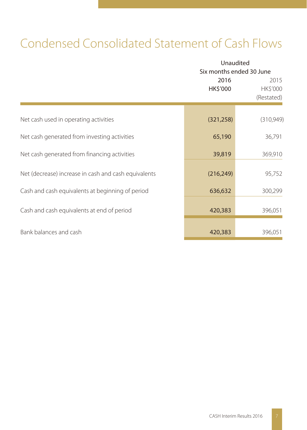# Condensed Consolidated Statement of Cash Flows

|                                                      |                  | Unaudited<br>Six months ended 30 June |  |  |  |
|------------------------------------------------------|------------------|---------------------------------------|--|--|--|
|                                                      | 2016<br>HK\$'000 | 2015<br>HK\$'000<br>(Restated)        |  |  |  |
| Net cash used in operating activities                | (321, 258)       | (310,949)                             |  |  |  |
| Net cash generated from investing activities         | 65,190           | 36,791                                |  |  |  |
| Net cash generated from financing activities         | 39,819           | 369,910                               |  |  |  |
| Net (decrease) increase in cash and cash equivalents | (216, 249)       | 95,752                                |  |  |  |
| Cash and cash equivalents at beginning of period     | 636,632          | 300,299                               |  |  |  |
| Cash and cash equivalents at end of period           | 420,383          | 396,051                               |  |  |  |
| Bank balances and cash                               | 420,383          | 396,051                               |  |  |  |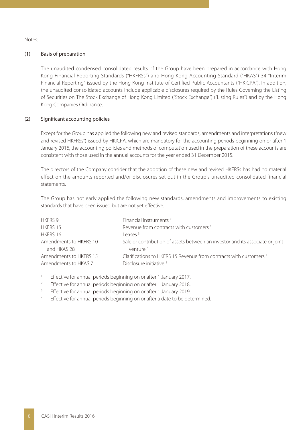Notes:

#### (1) Basis of preparation

The unaudited condensed consolidated results of the Group have been prepared in accordance with Hong Kong Financial Reporting Standards ("HKFRSs") and Hong Kong Accounting Standard ("HKAS") 34 "Interim Financial Reporting" issued by the Hong Kong Institute of Certified Public Accountants ("HKICPA"). In addition, the unaudited consolidated accounts include applicable disclosures required by the Rules Governing the Listing of Securities on The Stock Exchange of Hong Kong Limited ("Stock Exchange") ("Listing Rules") and by the Hong Kong Companies Ordinance.

#### (2) Significant accounting policies

Except for the Group has applied the following new and revised standards, amendments and interpretations ("new and revised HKFRSs") issued by HKICPA, which are mandatory for the accounting periods beginning on or after 1 January 2016, the accounting policies and methods of computation used in the preparation of these accounts are consistent with those used in the annual accounts for the year ended 31 December 2015.

The directors of the Company consider that the adoption of these new and revised HKFRSs has had no material effect on the amounts reported and/or disclosures set out in the Group's unaudited consolidated financial statements.

The Group has not early applied the following new standards, amendments and improvements to existing standards that have been issued but are not yet effective.

| Financial instruments <sup>2</sup>                                                                    |
|-------------------------------------------------------------------------------------------------------|
| Revenue from contracts with customers <sup>2</sup>                                                    |
| l eases <sup>3</sup>                                                                                  |
| Sale or contribution of assets between an investor and its associate or joint<br>venture <sup>4</sup> |
| Clarifications to HKERS 15 Revenue from contracts with customers 2<br>Disclosure initiative           |
|                                                                                                       |

- 1 Effective for annual periods beginning on or after 1 January 2017.
- 2 Effective for annual periods beginning on or after 1 January 2018.
- 3 Effective for annual periods beginning on or after 1 January 2019.
- 4 Effective for annual periods beginning on or after a date to be determined.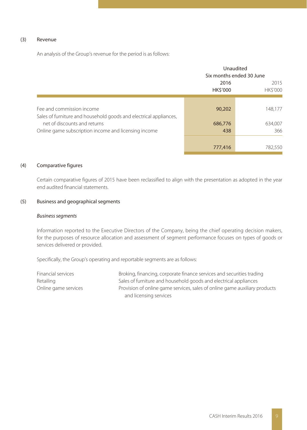#### (3) Revenue

An analysis of the Group's revenue for the period is as follows:

|                                                                                                |                         | Unaudited<br>Six months ended 30 June |
|------------------------------------------------------------------------------------------------|-------------------------|---------------------------------------|
|                                                                                                | 2016<br><b>HK\$'000</b> | 2015<br><b>HK\$'000</b>               |
| Fee and commission income<br>Sales of furniture and household goods and electrical appliances, | 90,202                  | 148,177                               |
| net of discounts and returns                                                                   | 686,776                 | 634.007                               |
| Online game subscription income and licensing income                                           | 438                     | 366                                   |
|                                                                                                | 777,416                 | 782.550                               |

#### (4) Comparative figures

Certain comparative figures of 2015 have been reclassified to align with the presentation as adopted in the year end audited financial statements.

#### (5) Business and geographical segments

#### Business segments

Information reported to the Executive Directors of the Company, being the chief operating decision makers, for the purposes of resource allocation and assessment of segment performance focuses on types of goods or services delivered or provided.

Specifically, the Group's operating and reportable segments are as follows:

| Financial services   | Broking, financing, corporate finance services and securities trading      |
|----------------------|----------------------------------------------------------------------------|
| Retailing            | Sales of furniture and household goods and electrical appliances           |
| Online game services | Provision of online game services, sales of online game auxiliary products |
|                      | and licensing services                                                     |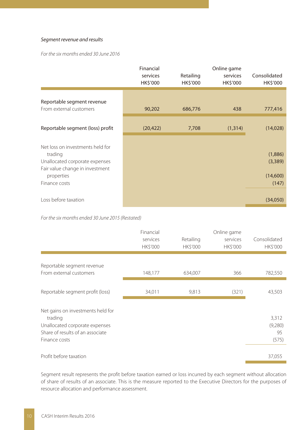#### Segment revenue and results

For the six months ended 30 June 2016

|                                                                                                                                                 | Financial<br>services<br>HK\$'000 | Retailing<br>HK\$'000 | Online game<br>services<br>HK\$'000 | Consolidated<br>HK\$'000                |
|-------------------------------------------------------------------------------------------------------------------------------------------------|-----------------------------------|-----------------------|-------------------------------------|-----------------------------------------|
| Reportable segment revenue<br>From external customers                                                                                           | 90,202                            | 686,776               | 438                                 | 777,416                                 |
| Reportable segment (loss) profit                                                                                                                | (20, 422)                         | 7,708                 | (1, 314)                            | (14,028)                                |
| Net loss on investments held for<br>trading<br>Unallocated corporate expenses<br>Fair value change in investment<br>properties<br>Finance costs |                                   |                       |                                     | (1,886)<br>(3,389)<br>(14,600)<br>(147) |
| Loss before taxation                                                                                                                            |                                   |                       |                                     | (34,050)                                |

For the six months ended 30 June 2015 (Restated)

|                                                                                                                                     | Financial<br>services<br>HK\$'000 | Retailing<br><b>HK\$'000</b> | Online game<br>services<br><b>HK\$'000</b> | Consolidated<br><b>HK\$'000</b> |
|-------------------------------------------------------------------------------------------------------------------------------------|-----------------------------------|------------------------------|--------------------------------------------|---------------------------------|
| Reportable segment revenue<br>From external customers                                                                               | 148,177                           | 634,007                      | 366                                        | 782,550                         |
| Reportable segment profit (loss)                                                                                                    | 34,011                            | 9,813                        | (321)                                      | 43,503                          |
| Net gains on investments held for<br>trading<br>Unallocated corporate expenses<br>Share of results of an associate<br>Finance costs |                                   |                              |                                            | 3,312<br>(9,280)<br>95<br>(575) |
| Profit before taxation                                                                                                              |                                   |                              |                                            | 37,055                          |

Segment result represents the profit before taxation earned or loss incurred by each segment without allocation of share of results of an associate. This is the measure reported to the Executive Directors for the purposes of resource allocation and performance assessment.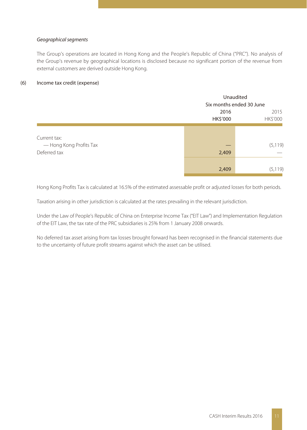#### Geographical segments

The Group's operations are located in Hong Kong and the People's Republic of China ("PRC"). No analysis of the Group's revenue by geographical locations is disclosed because no significant portion of the revenue from external customers are derived outside Hong Kong.

#### (6) Income tax credit (expense)

|                         |          | Unaudited                |  |  |
|-------------------------|----------|--------------------------|--|--|
|                         |          | Six months ended 30 June |  |  |
|                         | 2016     | 2015                     |  |  |
|                         | HK\$'000 | HK\$'000                 |  |  |
|                         |          |                          |  |  |
| Current tax:            |          |                          |  |  |
| - Hong Kong Profits Tax |          | (5, 119)                 |  |  |
| Deferred tax            | 2,409    |                          |  |  |
|                         |          |                          |  |  |
|                         | 2,409    | (5, 119)                 |  |  |
|                         |          |                          |  |  |

Hong Kong Profits Tax is calculated at 16.5% of the estimated assessable profit or adjusted losses for both periods.

Taxation arising in other jurisdiction is calculated at the rates prevailing in the relevant jurisdiction.

Under the Law of People's Republic of China on Enterprise Income Tax ("EIT Law") and Implementation Regulation of the EIT Law, the tax rate of the PRC subsidiaries is 25% from 1 January 2008 onwards.

No deferred tax asset arising from tax losses brought forward has been recognised in the financial statements due to the uncertainty of future profit streams against which the asset can be utilised.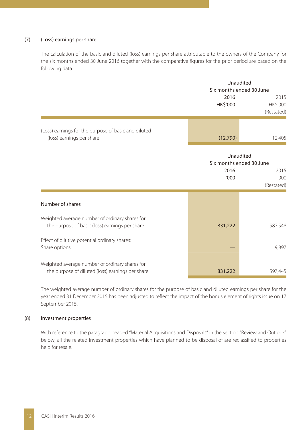#### (7) (Loss) earnings per share

The calculation of the basic and diluted (loss) earnings per share attributable to the owners of the Company for the six months ended 30 June 2016 together with the comparative figures for the prior period are based on the following data:

|                                                      |  |          | Unaudited                           |
|------------------------------------------------------|--|----------|-------------------------------------|
|                                                      |  |          | Six months ended 30 June            |
|                                                      |  | 2016     | 2015<br>HK\$'000<br><b>HK\$'000</b> |
|                                                      |  |          | (Restated)                          |
| (Loss) earnings for the purpose of basic and diluted |  |          |                                     |
| (loss) earnings per share                            |  | (12,790) | 12,405                              |

|                                                                                                    | Unaudited<br>Six months ended 30 June |                            |
|----------------------------------------------------------------------------------------------------|---------------------------------------|----------------------------|
|                                                                                                    | 2016<br>'000                          | 2015<br>000'<br>(Restated) |
| Number of shares                                                                                   |                                       |                            |
| Weighted average number of ordinary shares for<br>the purpose of basic (loss) earnings per share   | 831,222                               | 587,548                    |
| Effect of dilutive potential ordinary shares:<br>Share options                                     |                                       | 9,897                      |
| Weighted average number of ordinary shares for<br>the purpose of diluted (loss) earnings per share | 831,222                               | 597,445                    |

The weighted average number of ordinary shares for the purpose of basic and diluted earnings per share for the year ended 31 December 2015 has been adjusted to reflect the impact of the bonus element of rights issue on 17 September 2015.

#### (8) Investment properties

With reference to the paragraph headed "Material Acquisitions and Disposals" in the section "Review and Outlook" below, all the related investment properties which have planned to be disposal of are reclassified to properties held for resale.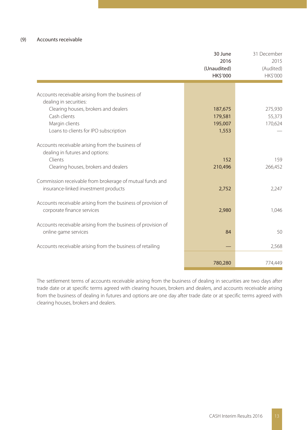#### (9) Accounts receivable

|                                                                            | 30 June<br>2016<br>(Unaudited)<br>HK\$'000 | 31 December<br>2015<br>(Audited)<br>HK\$'000 |
|----------------------------------------------------------------------------|--------------------------------------------|----------------------------------------------|
|                                                                            |                                            |                                              |
| Accounts receivable arising from the business of<br>dealing in securities: |                                            |                                              |
| Clearing houses, brokers and dealers                                       | 187,675                                    | 275,930                                      |
| Cash clients                                                               | 179,581                                    | 55,373                                       |
| Margin clients                                                             | 195,007                                    | 170,624                                      |
| Loans to clients for IPO subscription                                      | 1,553                                      |                                              |
| Accounts receivable arising from the business of                           |                                            |                                              |
| dealing in futures and options:                                            |                                            |                                              |
| Clients                                                                    | 152                                        | 159                                          |
| Clearing houses, brokers and dealers                                       | 210,496                                    | 266,452                                      |
| Commission receivable from brokerage of mutual funds and                   |                                            |                                              |
| insurance-linked investment products                                       | 2,752                                      | 2,247                                        |
| Accounts receivable arising from the business of provision of              |                                            |                                              |
| corporate finance services                                                 | 2,980                                      | 1,046                                        |
| Accounts receivable arising from the business of provision of              |                                            |                                              |
| online game services                                                       | 84                                         | 50                                           |
| Accounts receivable arising from the business of retailing                 |                                            | 2,568                                        |
|                                                                            |                                            |                                              |
|                                                                            | 780,280                                    | 774,449                                      |
|                                                                            |                                            |                                              |

The settlement terms of accounts receivable arising from the business of dealing in securities are two days after trade date or at specific terms agreed with clearing houses, brokers and dealers, and accounts receivable arising from the business of dealing in futures and options are one day after trade date or at specific terms agreed with clearing houses, brokers and dealers.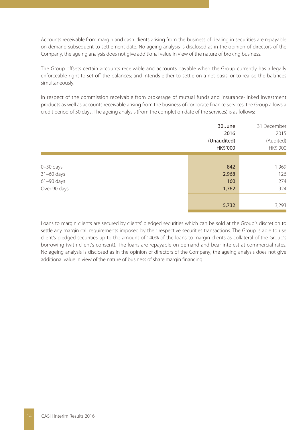Accounts receivable from margin and cash clients arising from the business of dealing in securities are repayable on demand subsequent to settlement date. No ageing analysis is disclosed as in the opinion of directors of the Company, the ageing analysis does not give additional value in view of the nature of broking business.

The Group offsets certain accounts receivable and accounts payable when the Group currently has a legally enforceable right to set off the balances; and intends either to settle on a net basis, or to realise the balances simultaneously.

In respect of the commission receivable from brokerage of mutual funds and insurance-linked investment products as well as accounts receivable arising from the business of corporate finance services, the Group allows a credit period of 30 days. The ageing analysis (from the completion date of the services) is as follows:

|               | 30 June<br>2016<br>(Unaudited)<br>HK\$'000 | 31 December<br>2015<br>(Audited)<br>HK\$'000 |
|---------------|--------------------------------------------|----------------------------------------------|
|               |                                            |                                              |
| $0 - 30$ days | 842                                        | 1,969                                        |
| 31-60 days    | 2,968                                      | 126                                          |
| $61-90$ days  | 160                                        | 274                                          |
| Over 90 days  | 1,762                                      | 924                                          |
|               |                                            |                                              |
|               | 5,732                                      | 3,293                                        |

Loans to margin clients are secured by clients' pledged securities which can be sold at the Group's discretion to settle any margin call requirements imposed by their respective securities transactions. The Group is able to use client's pledged securities up to the amount of 140% of the loans to margin clients as collateral of the Group's borrowing (with client's consent). The loans are repayable on demand and bear interest at commercial rates. No ageing analysis is disclosed as in the opinion of directors of the Company, the ageing analysis does not give additional value in view of the nature of business of share margin financing.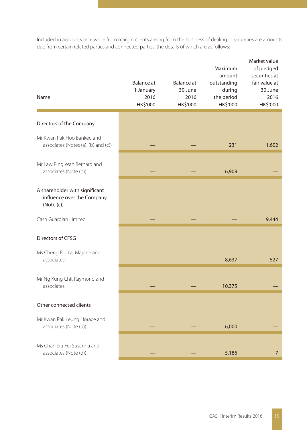Included in accounts receivable from margin clients arising from the business of dealing in securities are amounts due from certain related parties and connected parties, the details of which are as follows:

| Name                                                                       | Balance at<br>1 January<br>2016<br>HK\$'000 | <b>Balance</b> at<br>30 June<br>2016<br>HK\$'000 | Maximum<br>amount<br>outstanding<br>during<br>the period<br>HK\$'000 | Market value<br>of pledged<br>securities at<br>fair value at<br>30 June<br>2016<br>HK\$'000 |
|----------------------------------------------------------------------------|---------------------------------------------|--------------------------------------------------|----------------------------------------------------------------------|---------------------------------------------------------------------------------------------|
| Directors of the Company                                                   |                                             |                                                  |                                                                      |                                                                                             |
| Mr Kwan Pak Hoo Bankee and<br>associates (Notes (a), (b) and (c))          |                                             |                                                  | 231                                                                  | 1,602                                                                                       |
| Mr Law Ping Wah Bernard and<br>associates (Note (b))                       |                                             |                                                  | 6,909                                                                |                                                                                             |
| A shareholder with significant<br>influence over the Company<br>(Note (c)) |                                             |                                                  |                                                                      |                                                                                             |
| Cash Guardian Limited                                                      |                                             |                                                  |                                                                      | 9.444                                                                                       |
| Directors of CFSG                                                          |                                             |                                                  |                                                                      |                                                                                             |
| Ms Cheng Pui Lai Majone and<br>associates                                  |                                             |                                                  | 8,637                                                                | 527                                                                                         |
| Mr Ng Kung Chit Raymond and<br>associates                                  |                                             |                                                  | 10,375                                                               |                                                                                             |
| Other connected clients                                                    |                                             |                                                  |                                                                      |                                                                                             |
| Mr Kwan Pak Leung Horace and<br>associates (Note (d))                      |                                             |                                                  | 6,000                                                                |                                                                                             |
| Ms Chan Siu Fei Susanna and<br>associates (Note (d))                       |                                             |                                                  | 5,186                                                                | $\overline{7}$                                                                              |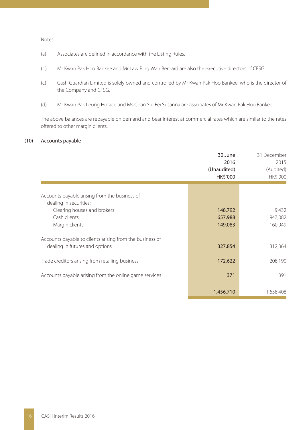Notes:

- (a) Associates are defined in accordance with the Listing Rules.
- (b) Mr Kwan Pak Hoo Bankee and Mr Law Ping Wah Bernard are also the executive directors of CFSG.
- (c) Cash Guardian Limited is solely owned and controlled by Mr Kwan Pak Hoo Bankee, who is the director of the Company and CFSG.
- (d) Mr Kwan Pak Leung Horace and Ms Chan Siu Fei Susanna are associates of Mr Kwan Pak Hoo Bankee.

The above balances are repayable on demand and bear interest at commercial rates which are similar to the rates offered to other margin clients.

#### (10) Accounts payable

|                                                                                            | 30 June<br>2016<br>(Unaudited)<br>HK\$'000 | 31 December<br>2015<br>(Audited)<br><b>HK\$'000</b> |
|--------------------------------------------------------------------------------------------|--------------------------------------------|-----------------------------------------------------|
| Accounts payable arising from the business of<br>dealing in securities:                    |                                            |                                                     |
| Clearing houses and brokers<br>Cash clients<br>Margin clients                              | 148,792<br>657,988<br>149,083              | 9,432<br>947,082<br>160,949                         |
| Accounts payable to clients arising from the business of<br>dealing in futures and options | 327,854                                    | 312,364                                             |
| Trade creditors arising from retailing business                                            | 172,622                                    | 208,190                                             |
| Accounts payable arising from the online game services                                     | 371                                        | 391                                                 |
|                                                                                            | 1,456,710                                  | 1,638,408                                           |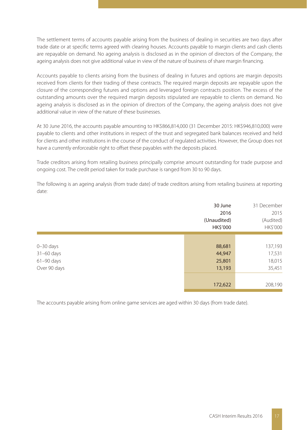The settlement terms of accounts payable arising from the business of dealing in securities are two days after trade date or at specific terms agreed with clearing houses. Accounts payable to margin clients and cash clients are repayable on demand. No ageing analysis is disclosed as in the opinion of directors of the Company, the ageing analysis does not give additional value in view of the nature of business of share margin financing.

Accounts payable to clients arising from the business of dealing in futures and options are margin deposits received from clients for their trading of these contracts. The required margin deposits are repayable upon the closure of the corresponding futures and options and leveraged foreign contracts position. The excess of the outstanding amounts over the required margin deposits stipulated are repayable to clients on demand. No ageing analysis is disclosed as in the opinion of directors of the Company, the ageing analysis does not give additional value in view of the nature of these businesses.

At 30 June 2016, the accounts payable amounting to HK\$866,814,000 (31 December 2015: HK\$946,810,000) were payable to clients and other institutions in respect of the trust and segregated bank balances received and held for clients and other institutions in the course of the conduct of regulated activities. However, the Group does not have a currently enforceable right to offset these payables with the deposits placed.

Trade creditors arising from retailing business principally comprise amount outstanding for trade purpose and ongoing cost. The credit period taken for trade purchase is ranged from 30 to 90 days.

The following is an ageing analysis (from trade date) of trade creditors arising from retailing business at reporting date:

|               | 30 June<br>2016<br>(Unaudited)<br>HK\$'000 | 31 December<br>2015<br>(Audited)<br>HK\$'000 |
|---------------|--------------------------------------------|----------------------------------------------|
|               |                                            |                                              |
| $0 - 30$ days | 88,681                                     | 137,193                                      |
| 31-60 days    | 44,947                                     | 17,531                                       |
| $61-90$ days  | 25,801                                     | 18,015                                       |
| Over 90 days  | 13,193                                     | 35,451                                       |
|               |                                            |                                              |
|               | 172,622                                    | 208,190                                      |

The accounts payable arising from online game services are aged within 30 days (from trade date).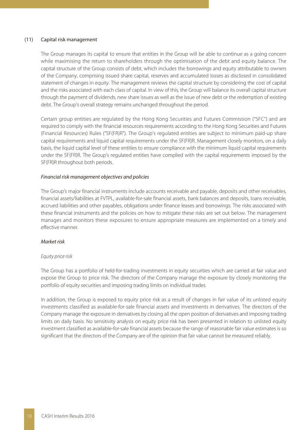#### (11) Capital risk management

The Group manages its capital to ensure that entities in the Group will be able to continue as a going concern while maximising the return to shareholders through the optimisation of the debt and equity balance. The capital structure of the Group consists of debt, which includes the borrowings and equity attributable to owners of the Company, comprising issued share capital, reserves and accumulated losses as disclosed in consolidated statement of changes in equity. The management reviews the capital structure by considering the cost of capital and the risks associated with each class of capital. In view of this, the Group will balance its overall capital structure through the payment of dividends, new share issues as well as the issue of new debt or the redemption of existing debt. The Group's overall strategy remains unchanged throughout the period.

Certain group entities are regulated by the Hong Kong Securities and Futures Commission ("SFC") and are required to comply with the financial resources requirements according to the Hong Kong Securities and Futures (Financial Resources) Rules ("SF(FR)R"). The Group's regulated entities are subject to minimum paid-up share capital requirements and liquid capital requirements under the SF(FR)R. Management closely monitors, on a daily basis, the liquid capital level of these entities to ensure compliance with the minimum liquid capital requirements under the SF(FR)R. The Group's regulated entities have complied with the capital requirements imposed by the SF(FR)R throughout both periods.

#### Financial risk management objectives and policies

The Group's major financial instruments include accounts receivable and payable, deposits and other receivables, financial assets/liabilities at FVTPL, available-for-sale financial assets, bank balances and deposits, loans receivable, accrued liabilities and other payables, obligations under finance leases and borrowings. The risks associated with these financial instruments and the policies on how to mitigate these risks are set out below. The management manages and monitors these exposures to ensure appropriate measures are implemented on a timely and effective manner.

#### Market risk

#### Equity price risk

The Group has a portfolio of held-for-trading investments in equity securities which are carried at fair value and expose the Group to price risk. The directors of the Company manage the exposure by closely monitoring the portfolio of equity securities and imposing trading limits on individual trades.

In addition, the Group is exposed to equity price risk as a result of changes in fair value of its unlisted equity investments classified as available-for-sale financial assets and investments in derivatives. The directors of the Company manage the exposure in derivatives by closing all the open position of derivatives and imposing trading limits on daily basis. No sensitivity analysis on equity price risk has been presented in relation to unlisted equity investment classified as available-for-sale financial assets because the range of reasonable fair value estimates is so significant that the directors of the Company are of the opinion that fair value cannot be measured reliably.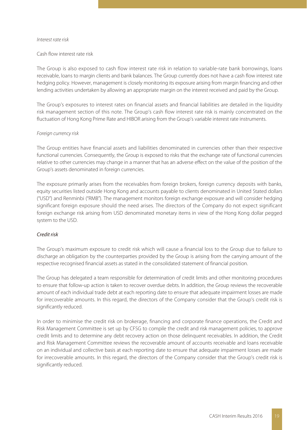#### Interest rate risk

#### Cash flow interest rate risk

The Group is also exposed to cash flow interest rate risk in relation to variable-rate bank borrowings, loans receivable, loans to margin clients and bank balances. The Group currently does not have a cash flow interest rate hedging policy. However, management is closely monitoring its exposure arising from margin financing and other lending activities undertaken by allowing an appropriate margin on the interest received and paid by the Group.

The Group's exposures to interest rates on financial assets and financial liabilities are detailed in the liquidity risk management section of this note. The Group's cash flow interest rate risk is mainly concentrated on the fluctuation of Hong Kong Prime Rate and HIBOR arising from the Group's variable interest rate instruments.

#### Foreign currency risk

The Group entities have financial assets and liabilities denominated in currencies other than their respective functional currencies. Consequently, the Group is exposed to risks that the exchange rate of functional currencies relative to other currencies may change in a manner that has an adverse effect on the value of the position of the Group's assets denominated in foreign currencies.

The exposure primarily arises from the receivables from foreign brokers, foreign currency deposits with banks, equity securities listed outside Hong Kong and accounts payable to clients denominated in United Stated dollars ("USD") and Renminbi ("RMB"). The management monitors foreign exchange exposure and will consider hedging significant foreign exposure should the need arises. The directors of the Company do not expect significant foreign exchange risk arising from USD denominated monetary items in view of the Hong Kong dollar pegged system to the USD.

#### Credit risk

The Group's maximum exposure to credit risk which will cause a financial loss to the Group due to failure to discharge an obligation by the counterparties provided by the Group is arising from the carrying amount of the respective recognised financial assets as stated in the consolidated statement of financial position.

The Group has delegated a team responsible for determination of credit limits and other monitoring procedures to ensure that follow-up action is taken to recover overdue debts. In addition, the Group reviews the recoverable amount of each individual trade debt at each reporting date to ensure that adequate impairment losses are made for irrecoverable amounts. In this regard, the directors of the Company consider that the Group's credit risk is significantly reduced.

In order to minimise the credit risk on brokerage, financing and corporate finance operations, the Credit and Risk Management Committee is set up by CFSG to compile the credit and risk management policies, to approve credit limits and to determine any debt recovery action on those delinquent receivables. In addition, the Credit and Risk Management Committee reviews the recoverable amount of accounts receivable and loans receivable on an individual and collective basis at each reporting date to ensure that adequate impairment losses are made for irrecoverable amounts. In this regard, the directors of the Company consider that the Group's credit risk is significantly reduced.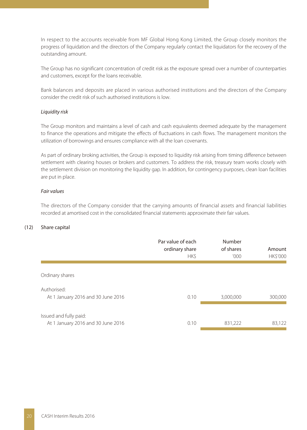In respect to the accounts receivable from MF Global Hong Kong Limited, the Group closely monitors the progress of liquidation and the directors of the Company regularly contact the liquidators for the recovery of the outstanding amount.

The Group has no significant concentration of credit risk as the exposure spread over a number of counterparties and customers, except for the loans receivable.

Bank balances and deposits are placed in various authorised institutions and the directors of the Company consider the credit risk of such authorised institutions is low.

#### Liquidity risk

The Group monitors and maintains a level of cash and cash equivalents deemed adequate by the management to finance the operations and mitigate the effects of fluctuations in cash flows. The management monitors the utilization of borrowings and ensures compliance with all the loan covenants.

As part of ordinary broking activities, the Group is exposed to liquidity risk arising from timing difference between settlement with clearing houses or brokers and customers. To address the risk, treasury team works closely with the settlement division on monitoring the liquidity gap. In addition, for contingency purposes, clean loan facilities are put in place.

#### Fair values

The directors of the Company consider that the carrying amounts of financial assets and financial liabilities recorded at amortised cost in the consolidated financial statements approximate their fair values.

#### (12) Share capital

|                                                              | Par value of each<br>ordinary share<br>HK\$ | Number<br>of shares<br>'000 | Amount<br><b>HK\$'000</b> |
|--------------------------------------------------------------|---------------------------------------------|-----------------------------|---------------------------|
| Ordinary shares                                              |                                             |                             |                           |
| Authorised:<br>At 1 January 2016 and 30 June 2016            | 0.10                                        | 3,000,000                   | 300,000                   |
| Issued and fully paid:<br>At 1 January 2016 and 30 June 2016 | 0.10                                        | 831,222                     | 83,122                    |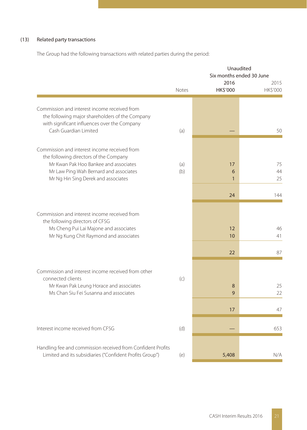## (13) Related party transactions

The Group had the following transactions with related parties during the period:

|                                                                                                                                                 |            |                  | Unaudited<br>Six months ended 30 June |
|-------------------------------------------------------------------------------------------------------------------------------------------------|------------|------------------|---------------------------------------|
|                                                                                                                                                 | Notes      | 2016<br>HK\$'000 | 2015<br>HK\$'000                      |
|                                                                                                                                                 |            |                  |                                       |
| Commission and interest income received from<br>the following major shareholders of the Company<br>with significant influences over the Company |            |                  |                                       |
| Cash Guardian Limited                                                                                                                           | (a)        |                  | 50                                    |
| Commission and interest income received from<br>the following directors of the Company                                                          |            |                  |                                       |
| Mr Kwan Pak Hoo Bankee and associates<br>Mr Law Ping Wah Bernard and associates                                                                 | (a)<br>(b) | 17<br>6          | 75<br>44                              |
| Mr Ng Hin Sing Derek and associates                                                                                                             |            | $\mathbf{1}$     | 25                                    |
|                                                                                                                                                 |            | 24               | 144                                   |
| Commission and interest income received from<br>the following directors of CFSG                                                                 |            |                  |                                       |
| Ms Cheng Pui Lai Majone and associates<br>Mr Ng Kung Chit Raymond and associates                                                                |            | 12<br>10         | 46<br>41                              |
|                                                                                                                                                 |            | 22               | 87                                    |
|                                                                                                                                                 |            |                  |                                       |
| Commission and interest income received from other<br>connected clients                                                                         | (c)        |                  |                                       |
| Mr Kwan Pak Leung Horace and associates<br>Ms Chan Siu Fei Susanna and associates                                                               |            | 8<br>9           | 25<br>22                              |
|                                                                                                                                                 |            | 17               | 47                                    |
| Interest income received from CFSG                                                                                                              | (d)        |                  | 653                                   |
|                                                                                                                                                 |            |                  |                                       |
| Handling fee and commission received from Confident Profits<br>Limited and its subsidiaries ("Confident Profits Group")                         | (e)        | 5,408            | N/A                                   |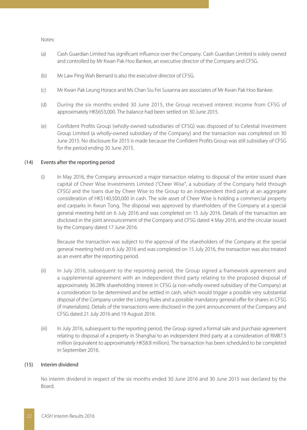#### Notes:

- (a) Cash Guardian Limited has significant influence over the Company. Cash Guardian Limited is solely owned and controlled by Mr Kwan Pak Hoo Bankee, an executive director of the Company and CFSG.
- (b) Mr Law Ping Wah Bernard is also the executive director of CFSG.
- (c) Mr Kwan Pak Leung Horace and Ms Chan Siu Fei Susanna are associates of Mr Kwan Pak Hoo Bankee.
- (d) During the six months ended 30 June 2015, the Group received interest income from CFSG of approximately HK\$653,000. The balance had been settled on 30 June 2015.
- (e) Confident Profits Group (wholly-owned subsidiaries of CFSG) was disposed of to Celestial Investment Group Limited (a wholly-owned subsidiary of the Company) and the transaction was completed on 30 June 2015. No disclosure for 2015 is made because the Confident Profits Group was still subsidiary of CFSG for the period ending 30 June 2015.

#### (14) Events after the reporting period

(i) In May 2016, the Company announced a major transaction relating to disposal of the entire issued share capital of Cheer Wise Investments Limited ("Cheer Wise", a subsidiary of the Company held through CFSG) and the loans due by Cheer Wise to the Group to an independent third party at an aggregate consideration of HK\$140,500,000 in cash. The sole asset of Cheer Wise is holding a commercial property and carparks in Kwun Tong. The disposal was approved by shareholders of the Company at a special general meeting held on 6 July 2016 and was completed on 15 July 2016. Details of the transaction are disclosed in the joint announcement of the Company and CFSG dated 4 May 2016, and the circular issued by the Company dated 17 June 2016.

Because the transaction was subject to the approval of the shareholders of the Company at the special general meeting held on 6 July 2016 and was completed on 15 July 2016, the transaction was also treated as an event after the reporting period.

- (ii) In July 2016, subsequent to the reporting period, the Group signed a framework agreement and a supplemental agreement with an independent third party relating to the proposed disposal of approximately 36.28% shareholding interest in CFSG (a non-wholly-owned subsidiary of the Company) at a consideration to be determined and be settled in cash, which would trigger a possible very substantial disposal of the Company under the Listing Rules and a possible mandatory general offer for shares in CFSG (if materializes). Details of the transactions were disclosed in the joint announcement of the Company and CFSG dated 21 July 2016 and 19 August 2016.
- (iii) In July 2016, subsequent to the reporting period, the Group signed a formal sale and purchase agreement relating to disposal of a property in Shanghai to an independent third party at a consideration of RMB7.5 million (equivalent to approximately HK\$8.8 million). The transaction has been scheduled to be completed in September 2016.

#### (15) Interim dividend

No interim dividend in respect of the six months ended 30 June 2016 and 30 June 2015 was declared by the Board.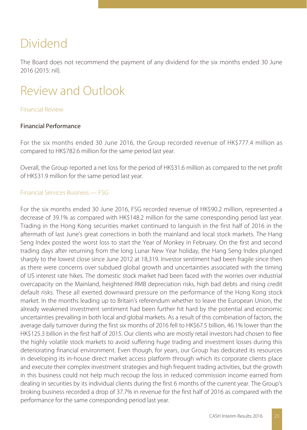## Dividend

The Board does not recommend the payment of any dividend for the six months ended 30 June 2016 (2015: nil).

# Review and Outlook

### Financial Review

## Financial Performance

For the six months ended 30 June 2016, the Group recorded revenue of HK\$777.4 million as compared to HK\$782.6 million for the same period last year.

Overall, the Group reported a net loss for the period of HK\$31.6 million as compared to the net profit of HK\$31.9 million for the same period last year.

### Financial Services Business — FSG

For the six months ended 30 June 2016, FSG recorded revenue of HK\$90.2 million, represented a decrease of 39.1% as compared with HK\$148.2 million for the same corresponding period last year. Trading in the Hong Kong securities market continued to languish in the first half of 2016 in the aftermath of last June's great corrections in both the mainland and local stock markets. The Hang Seng Index posted the worst loss to start the Year of Monkey in February. On the first and second trading days after returning from the long Lunar New Year holiday, the Hang Seng Index plunged sharply to the lowest close since June 2012 at 18,319. Investor sentiment had been fragile since then as there were concerns over subdued global growth and uncertainties associated with the timing of US interest rate hikes. The domestic stock market had been faced with the worries over industrial overcapacity on the Mainland, heightened RMB depreciation risks, high bad debts and rising credit default risks. These all exerted downward pressure on the performance of the Hong Kong stock market. In the months leading up to Britain's referendum whether to leave the European Union, the already weakened investment sentiment had been further hit hard by the potential and economic uncertainties prevailing in both local and global markets. As a result of this combination of factors, the average daily turnover during the first six months of 2016 fell to HK\$67.5 billion, 46.1% lower than the HK\$125.3 billion in the first half of 2015. Our clients who are mostly retail investors had chosen to flee the highly volatile stock markets to avoid suffering huge trading and investment losses during this deteriorating financial environment. Even though, for years, our Group has dedicated its resources in developing its in-house direct market access platform through which its corporate clients place and execute their complex investment strategies and high frequent trading activities, but the growth in this business could not help much recoup the loss in reduced commission income earned from dealing in securities by its individual clients during the first 6 months of the current year. The Group's broking business recorded a drop of 37.7% in revenue for the first half of 2016 as compared with the performance for the same corresponding period last year.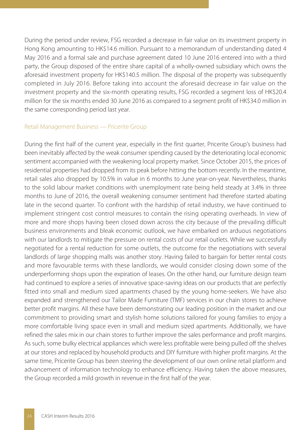During the period under review, FSG recorded a decrease in fair value on its investment property in Hong Kong amounting to HK\$14.6 million. Pursuant to a memorandum of understanding dated 4 May 2016 and a formal sale and purchase agreement dated 10 June 2016 entered into with a third party, the Group disposed of the entire share capital of a wholly-owned subsidiary which owns the aforesaid investment property for HK\$140.5 million. The disposal of the property was subsequently completed in July 2016. Before taking into account the aforesaid decrease in fair value on the investment property and the six-month operating results, FSG recorded a segment loss of HK\$20.4 million for the six months ended 30 June 2016 as compared to a segment profit of HK\$34.0 million in the same corresponding period last year.

#### Retail Management Business — Pricerite Group

During the first half of the current year, especially in the first quarter, Pricerite Group's business had been inevitably affected by the weak consumer spending caused by the deteriorating local economic sentiment accompanied with the weakening local property market. Since October 2015, the prices of residential properties had dropped from its peak before hitting the bottom recently. In the meantime, retail sales also dropped by 10.5% in value in 6 months to June year-on-year. Nevertheless, thanks to the solid labour market conditions with unemployment rate being held steady at 3.4% in three months to June of 2016, the overall weakening consumer sentiment had therefore started abating late in the second quarter. To confront with the hardship of retail industry, we have continued to implement stringent cost control measures to contain the rising operating overheads. In view of more and more shops having been closed down across the city because of the prevailing difficult business environments and bleak economic outlook, we have embarked on arduous negotiations with our landlords to mitigate the pressure on rental costs of our retail outlets. While we successfully negotiated for a rental reduction for some outlets, the outcome for the negotiations with several landlords of large shopping malls was another story. Having failed to bargain for better rental costs and more favourable terms with these landlords, we would consider closing down some of the underperforming shops upon the expiration of leases. On the other hand, our furniture design team had continued to explore a series of innovative space-saving ideas on our products that are perfectly fitted into small and medium sized apartments chased by the young home-seekers. We have also expanded and strengthened our Tailor Made Furniture (TMF) services in our chain stores to achieve better profit margins. All these have been demonstrating our leading position in the market and our commitment to providing smart and stylish home solutions tailored for young families to enjoy a more comfortable living space even in small and medium sized apartments. Additionally, we have refined the sales mix in our chain stores to further improve the sales performance and profit margins. As such, some bulky electrical appliances which were less profitable were being pulled off the shelves at our stores and replaced by household products and DIY furniture with higher profit margins. At the same time, Pricerite Group has been steering the development of our own online retail platform and advancement of information technology to enhance efficiency. Having taken the above measures, the Group recorded a mild growth in revenue in the first half of the year.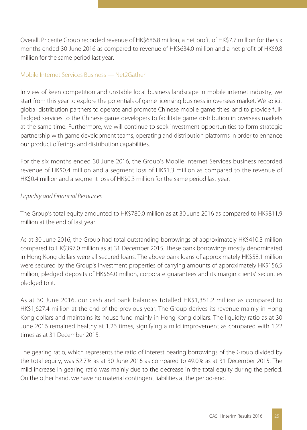Overall, Pricerite Group recorded revenue of HK\$686.8 million, a net profit of HK\$7.7 million for the six months ended 30 June 2016 as compared to revenue of HK\$634.0 million and a net profit of HK\$9.8 million for the same period last year.

### Mobile Internet Services Business — Net2Gather

In view of keen competition and unstable local business landscape in mobile internet industry, we start from this year to explore the potentials of game licensing business in overseas market. We solicit global distribution partners to operate and promote Chinese mobile game titles, and to provide fullfledged services to the Chinese game developers to facilitate game distribution in overseas markets at the same time. Furthermore, we will continue to seek investment opportunities to form strategic partnership with game development teams, operating and distribution platforms in order to enhance our product offerings and distribution capabilities.

For the six months ended 30 June 2016, the Group's Mobile Internet Services business recorded revenue of HK\$0.4 million and a segment loss of HK\$1.3 million as compared to the revenue of HK\$0.4 million and a segment loss of HK\$0.3 million for the same period last year.

## Liquidity and Financial Resources

The Group's total equity amounted to HK\$780.0 million as at 30 June 2016 as compared to HK\$811.9 million at the end of last year.

As at 30 June 2016, the Group had total outstanding borrowings of approximately HK\$410.3 million compared to HK\$397.0 million as at 31 December 2015. These bank borrowings mostly denominated in Hong Kong dollars were all secured loans. The above bank loans of approximately HK\$58.1 million were secured by the Group's investment properties of carrying amounts of approximately HK\$156.5 million, pledged deposits of HK\$64.0 million, corporate guarantees and its margin clients' securities pledged to it.

As at 30 June 2016, our cash and bank balances totalled HK\$1,351.2 million as compared to HK\$1,627.4 million at the end of the previous year. The Group derives its revenue mainly in Hong Kong dollars and maintains its house fund mainly in Hong Kong dollars. The liquidity ratio as at 30 June 2016 remained healthy at 1.26 times, signifying a mild improvement as compared with 1.22 times as at 31 December 2015.

The gearing ratio, which represents the ratio of interest bearing borrowings of the Group divided by the total equity, was 52.7% as at 30 June 2016 as compared to 49.0% as at 31 December 2015. The mild increase in gearing ratio was mainly due to the decrease in the total equity during the period. On the other hand, we have no material contingent liabilities at the period-end.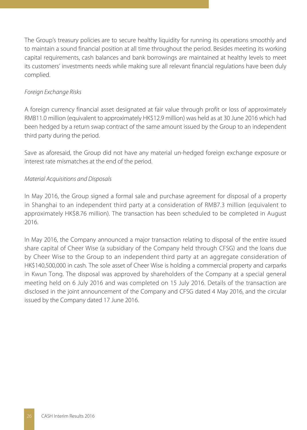The Group's treasury policies are to secure healthy liquidity for running its operations smoothly and to maintain a sound financial position at all time throughout the period. Besides meeting its working capital requirements, cash balances and bank borrowings are maintained at healthy levels to meet its customers' investments needs while making sure all relevant financial regulations have been duly complied.

## Foreign Exchange Risks

A foreign currency financial asset designated at fair value through profit or loss of approximately RMB11.0 million (equivalent to approximately HK\$12.9 million) was held as at 30 June 2016 which had been hedged by a return swap contract of the same amount issued by the Group to an independent third party during the period.

Save as aforesaid, the Group did not have any material un-hedged foreign exchange exposure or interest rate mismatches at the end of the period.

## Material Acquisitions and Disposals

In May 2016, the Group signed a formal sale and purchase agreement for disposal of a property in Shanghai to an independent third party at a consideration of RMB7.3 million (equivalent to approximately HK\$8.76 million). The transaction has been scheduled to be completed in August 2016.

In May 2016, the Company announced a major transaction relating to disposal of the entire issued share capital of Cheer Wise (a subsidiary of the Company held through CFSG) and the loans due by Cheer Wise to the Group to an independent third party at an aggregate consideration of HK\$140,500,000 in cash. The sole asset of Cheer Wise is holding a commercial property and carparks in Kwun Tong. The disposal was approved by shareholders of the Company at a special general meeting held on 6 July 2016 and was completed on 15 July 2016. Details of the transaction are disclosed in the joint announcement of the Company and CFSG dated 4 May 2016, and the circular issued by the Company dated 17 June 2016.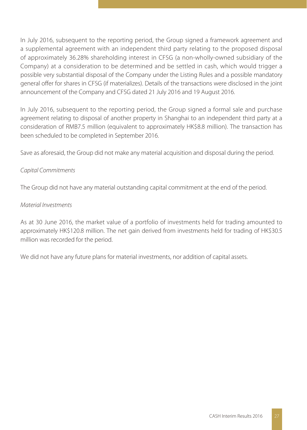In July 2016, subsequent to the reporting period, the Group signed a framework agreement and a supplemental agreement with an independent third party relating to the proposed disposal of approximately 36.28% shareholding interest in CFSG (a non-wholly-owned subsidiary of the Company) at a consideration to be determined and be settled in cash, which would trigger a possible very substantial disposal of the Company under the Listing Rules and a possible mandatory general offer for shares in CFSG (if materializes). Details of the transactions were disclosed in the joint announcement of the Company and CFSG dated 21 July 2016 and 19 August 2016.

In July 2016, subsequent to the reporting period, the Group signed a formal sale and purchase agreement relating to disposal of another property in Shanghai to an independent third party at a consideration of RMB7.5 million (equivalent to approximately HK\$8.8 million). The transaction has been scheduled to be completed in September 2016.

Save as aforesaid, the Group did not make any material acquisition and disposal during the period.

## Capital Commitments

The Group did not have any material outstanding capital commitment at the end of the period.

## Material Investments

As at 30 June 2016, the market value of a portfolio of investments held for trading amounted to approximately HK\$120.8 million. The net gain derived from investments held for trading of HK\$30.5 million was recorded for the period.

We did not have any future plans for material investments, nor addition of capital assets.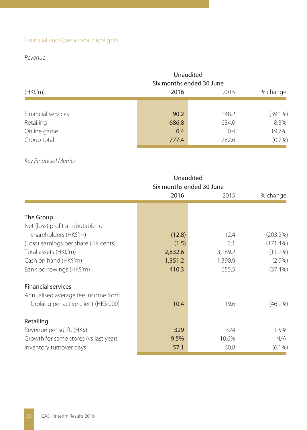## Financial and Operational highlights

## Revenue

|                    |                | Unaudited<br>Six months ended 30 June |            |  |  |
|--------------------|----------------|---------------------------------------|------------|--|--|
| (HK\$'m)           | 2016           | 2015                                  |            |  |  |
|                    |                |                                       |            |  |  |
| Financial services | 90.2           | 148.2                                 | $(39.1\%)$ |  |  |
| Retailing          | 686.8          | 634.0                                 | 8.3%       |  |  |
| Online game        | 0.4            | 0.4                                   | 19.7%      |  |  |
| Group total        | 777.4<br>782.6 |                                       |            |  |  |

## Key Financial Metrics

|                                       | Unaudited<br>Six months ended 30 June |         |             |
|---------------------------------------|---------------------------------------|---------|-------------|
|                                       | 2016                                  | 2015    | % change    |
|                                       |                                       |         |             |
| The Group                             |                                       |         |             |
| Net (loss) profit attributable to     |                                       |         |             |
| shareholders (HK\$'m)                 | (12.8)                                | 12.4    | (203.2%)    |
| (Loss) earnings per share (HK cents)  | (1.5)                                 | 2.1     | $(171.4\%)$ |
| Total assets (HK\$'m)                 | 2,832.6                               | 3,189.2 | $(11.2\%)$  |
| Cash on hand (HK\$'m)                 | 1,351.2                               | 1,390.9 | $(2.9\%)$   |
| Bank borrowings (HK\$'m)              | 410.3                                 | 655.5   | $(37.4\%)$  |
| <b>Financial services</b>             |                                       |         |             |
| Annualised average fee income from    |                                       |         |             |
| broking per active client (HK\$'000)  | 10.4                                  | 19.6    | $(46.9\%)$  |
| Retailing                             |                                       |         |             |
| Revenue per sq. ft. (HK\$)            | 329                                   | 324     | 1.5%        |
| Growth for same stores (vs last year) | 9.5%                                  | 10.6%   | N/A         |
| Inventory turnover days               | 57.1                                  | 60.8    | $(6.1\%)$   |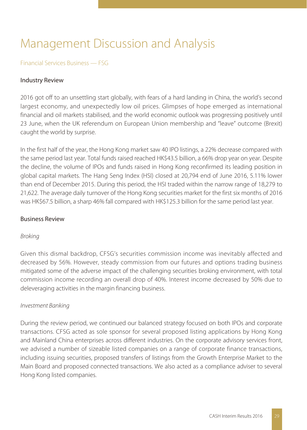# Management Discussion and Analysis

## Financial Services Business — FSG

### Industry Review

2016 got off to an unsettling start globally, with fears of a hard landing in China, the world's second largest economy, and unexpectedly low oil prices. Glimpses of hope emerged as international financial and oil markets stabilised, and the world economic outlook was progressing positively until 23 June, when the UK referendum on European Union membership and "leave" outcome (Brexit) caught the world by surprise.

In the first half of the year, the Hong Kong market saw 40 IPO listings, a 22% decrease compared with the same period last year. Total funds raised reached HK\$43.5 billion, a 66% drop year on year. Despite the decline, the volume of IPOs and funds raised in Hong Kong reconfirmed its leading position in global capital markets. The Hang Seng Index (HSI) closed at 20,794 end of June 2016, 5.11% lower than end of December 2015. During this period, the HSI traded within the narrow range of 18,279 to 21,622. The average daily turnover of the Hong Kong securities market for the first six months of 2016 was HK\$67.5 billion, a sharp 46% fall compared with HK\$125.3 billion for the same period last year.

### Business Review

#### Broking

Given this dismal backdrop, CFSG's securities commission income was inevitably affected and decreased by 56%. However, steady commission from our futures and options trading business mitigated some of the adverse impact of the challenging securities broking environment, with total commission income recording an overall drop of 40%. Interest income decreased by 50% due to deleveraging activities in the margin financing business.

#### Investment Banking

During the review period, we continued our balanced strategy focused on both IPOs and corporate transactions. CFSG acted as sole sponsor for several proposed listing applications by Hong Kong and Mainland China enterprises across different industries. On the corporate advisory services front, we advised a number of sizeable listed companies on a range of corporate finance transactions, including issuing securities, proposed transfers of listings from the Growth Enterprise Market to the Main Board and proposed connected transactions. We also acted as a compliance adviser to several Hong Kong listed companies.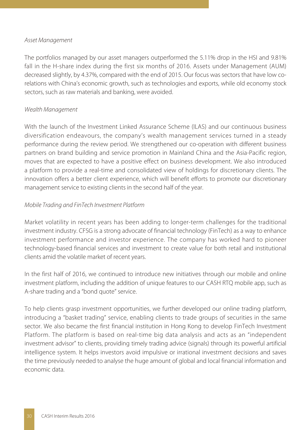#### Asset Management

The portfolios managed by our asset managers outperformed the 5.11% drop in the HSI and 9.81% fall in the H-share index during the first six months of 2016. Assets under Management (AUM) decreased slightly, by 4.37%, compared with the end of 2015. Our focus was sectors that have low corelations with China's economic growth, such as technologies and exports, while old economy stock sectors, such as raw materials and banking, were avoided.

## Wealth Management

With the launch of the Investment Linked Assurance Scheme (ILAS) and our continuous business diversification endeavours, the company's wealth management services turned in a steady performance during the review period. We strengthened our co-operation with different business partners on brand building and service promotion in Mainland China and the Asia-Pacific region, moves that are expected to have a positive effect on business development. We also introduced a platform to provide a real-time and consolidated view of holdings for discretionary clients. The innovation offers a better client experience, which will benefit efforts to promote our discretionary management service to existing clients in the second half of the year.

## Mobile Trading and FinTech Investment Platform

Market volatility in recent years has been adding to longer-term challenges for the traditional investment industry. CFSG is a strong advocate of financial technology (FinTech) as a way to enhance investment performance and investor experience. The company has worked hard to pioneer technology-based financial services and investment to create value for both retail and institutional clients amid the volatile market of recent years.

In the first half of 2016, we continued to introduce new initiatives through our mobile and online investment platform, including the addition of unique features to our CASH RTQ mobile app, such as A-share trading and a "bond quote" service.

To help clients grasp investment opportunities, we further developed our online trading platform, introducing a "basket trading" service, enabling clients to trade groups of securities in the same sector. We also became the first financial institution in Hong Kong to develop FinTech Investment Platform. The platform is based on real-time big data analysis and acts as an "independent investment advisor" to clients, providing timely trading advice (signals) through its powerful artificial intelligence system. It helps investors avoid impulsive or irrational investment decisions and saves the time previously needed to analyse the huge amount of global and local financial information and economic data.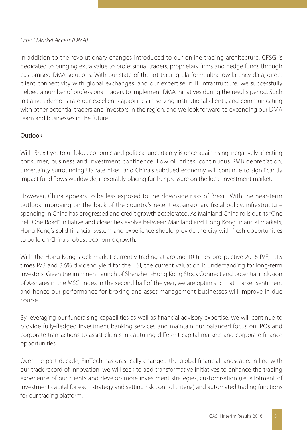## Direct Market Access (DMA)

In addition to the revolutionary changes introduced to our online trading architecture, CFSG is dedicated to bringing extra value to professional traders, proprietary firms and hedge funds through customised DMA solutions. With our state-of-the-art trading platform, ultra-low latency data, direct client connectivity with global exchanges, and our expertise in IT infrastructure, we successfully helped a number of professional traders to implement DMA initiatives during the results period. Such initiatives demonstrate our excellent capabilities in serving institutional clients, and communicating with other potential traders and investors in the region, and we look forward to expanding our DMA team and businesses in the future.

## Outlook

With Brexit yet to unfold, economic and political uncertainty is once again rising, negatively affecting consumer, business and investment confidence. Low oil prices, continuous RMB depreciation, uncertainty surrounding US rate hikes, and China's subdued economy will continue to significantly impact fund flows worldwide, inexorably placing further pressure on the local investment market.

However, China appears to be less exposed to the downside risks of Brexit. With the near-term outlook improving on the back of the country's recent expansionary fiscal policy, infrastructure spending in China has progressed and credit growth accelerated. As Mainland China rolls out its "One Belt One Road" initiative and closer ties evolve between Mainland and Hong Kong financial markets, Hong Kong's solid financial system and experience should provide the city with fresh opportunities to build on China's robust economic growth.

With the Hong Kong stock market currently trading at around 10 times prospective 2016 P/E, 1.15 times P/B and 3.6% dividend yield for the HSI, the current valuation is undemanding for long-term investors. Given the imminent launch of Shenzhen-Hong Kong Stock Connect and potential inclusion of A-shares in the MSCI index in the second half of the year, we are optimistic that market sentiment and hence our performance for broking and asset management businesses will improve in due course.

By leveraging our fundraising capabilities as well as financial advisory expertise, we will continue to provide fully-fledged investment banking services and maintain our balanced focus on IPOs and corporate transactions to assist clients in capturing different capital markets and corporate finance opportunities.

Over the past decade, FinTech has drastically changed the global financial landscape. In line with our track record of innovation, we will seek to add transformative initiatives to enhance the trading experience of our clients and develop more investment strategies, customisation (i.e. allotment of investment capital for each strategy and setting risk control criteria) and automated trading functions for our trading platform.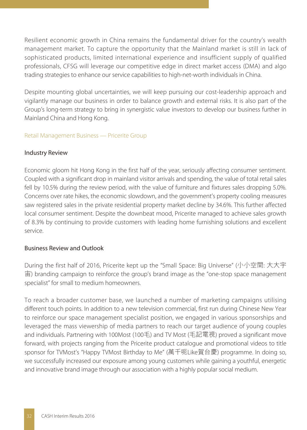Resilient economic growth in China remains the fundamental driver for the country's wealth management market. To capture the opportunity that the Mainland market is still in lack of sophisticated products, limited international experience and insufficient supply of qualified professionals, CFSG will leverage our competitive edge in direct market access (DMA) and algo trading strategies to enhance our service capabilities to high-net-worth individuals in China.

Despite mounting global uncertainties, we will keep pursuing our cost-leadership approach and vigilantly manage our business in order to balance growth and external risks. It is also part of the Group's long-term strategy to bring in synergistic value investors to develop our business further in Mainland China and Hong Kong.

### Retail Management Business — Pricerite Group

### Industry Review

Economic gloom hit Hong Kong in the first half of the year, seriously affecting consumer sentiment. Coupled with a significant drop in mainland visitor arrivals and spending, the value of total retail sales fell by 10.5% during the review period, with the value of furniture and fixtures sales dropping 5.0%. Concerns over rate hikes, the economic slowdown, and the government's property cooling measures saw registered sales in the private residential property market decline by 34.6%. This further affected local consumer sentiment. Despite the downbeat mood, Pricerite managed to achieve sales growth of 8.3% by continuing to provide customers with leading home furnishing solutions and excellent service.

## Business Review and Outlook

During the first half of 2016, Pricerite kept up the "Small Space: Big Universe" (小小空間: 大大宇 宙) branding campaign to reinforce the group's brand image as the "one-stop space management specialist" for small to medium homeowners.

To reach a broader customer base, we launched a number of marketing campaigns utilising different touch points. In addition to a new television commercial, first run during Chinese New Year to reinforce our space management specialist position, we engaged in various sponsorships and leveraged the mass viewership of media partners to reach our target audience of young couples and individuals. Partnering with 100Most (100毛) and TV Most (毛記電視) proved a significant move forward, with projects ranging from the Pricerite product catalogue and promotional videos to title sponsor for TVMost's "Happy TVMost Birthday to Me" (萬千呃Like賀台慶) programme. In doing so, we successfully increased our exposure among young customers while gaining a youthful, energetic and innovative brand image through our association with a highly popular social medium.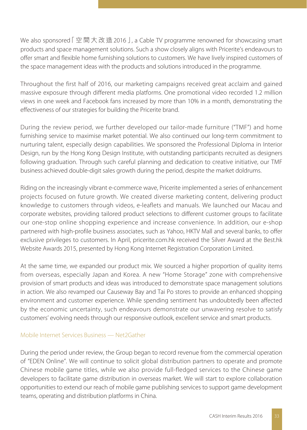We also sponsored [空間大改造2016 ], a Cable TV programme renowned for showcasing smart products and space management solutions. Such a show closely aligns with Pricerite's endeavours to offer smart and flexible home furnishing solutions to customers. We have lively inspired customers of the space management ideas with the products and solutions introduced in the programme.

Throughout the first half of 2016, our marketing campaigns received great acclaim and gained massive exposure through different media platforms. One promotional video recorded 1.2 million views in one week and Facebook fans increased by more than 10% in a month, demonstrating the effectiveness of our strategies for building the Pricerite brand.

During the review period, we further developed our tailor-made furniture ("TMF") and home furnishing service to maximise market potential. We also continued our long-term commitment to nurturing talent, especially design capabilities. We sponsored the Professional Diploma in Interior Design, run by the Hong Kong Design Institute, with outstanding participants recruited as designers following graduation. Through such careful planning and dedication to creative initiative, our TMF business achieved double-digit sales growth during the period, despite the market doldrums.

Riding on the increasingly vibrant e-commerce wave, Pricerite implemented a series of enhancement projects focused on future growth. We created diverse marketing content, delivering product knowledge to customers through videos, e-leaflets and manuals. We launched our Macau and corporate websites, providing tailored product selections to different customer groups to facilitate our one-stop online shopping experience and increase convenience. In addition, our e-shop partnered with high-profile business associates, such as Yahoo, HKTV Mall and several banks, to offer exclusive privileges to customers. In April, pricerite.com.hk received the Silver Award at the Best.hk Website Awards 2015, presented by Hong Kong Internet Registration Corporation Limited.

At the same time, we expanded our product mix. We sourced a higher proportion of quality items from overseas, especially Japan and Korea. A new "Home Storage" zone with comprehensive provision of smart products and ideas was introduced to demonstrate space management solutions in action. We also revamped our Causeway Bay and Tai Po stores to provide an enhanced shopping environment and customer experience. While spending sentiment has undoubtedly been affected by the economic uncertainty, such endeavours demonstrate our unwavering resolve to satisfy customers' evolving needs through our responsive outlook, excellent service and smart products.

## Mobile Internet Services Business — Net2Gather

During the period under review, the Group began to record revenue from the commercial operation of "EDEN Online". We will continue to solicit global distribution partners to operate and promote Chinese mobile game titles, while we also provide full-fledged services to the Chinese game developers to facilitate game distribution in overseas market. We will start to explore collaboration opportunities to extend our reach of mobile game publishing services to support game development teams, operating and distribution platforms in China.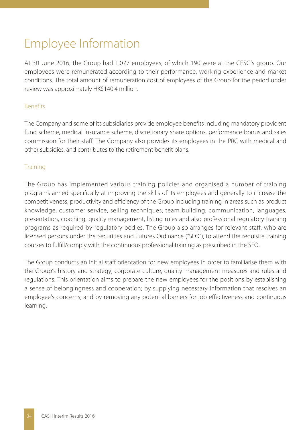# Employee Information

At 30 June 2016, the Group had 1,077 employees, of which 190 were at the CFSG's group. Our employees were remunerated according to their performance, working experience and market conditions. The total amount of remuneration cost of employees of the Group for the period under review was approximately HK\$140.4 million.

## **Benefits**

The Company and some of its subsidiaries provide employee benefits including mandatory provident fund scheme, medical insurance scheme, discretionary share options, performance bonus and sales commission for their staff. The Company also provides its employees in the PRC with medical and other subsidies, and contributes to the retirement benefit plans.

## **Training**

The Group has implemented various training policies and organised a number of training programs aimed specifically at improving the skills of its employees and generally to increase the competitiveness, productivity and efficiency of the Group including training in areas such as product knowledge, customer service, selling techniques, team building, communication, languages, presentation, coaching, quality management, listing rules and also professional regulatory training programs as required by regulatory bodies. The Group also arranges for relevant staff, who are licensed persons under the Securities and Futures Ordinance ("SFO"), to attend the requisite training courses to fulfill/comply with the continuous professional training as prescribed in the SFO.

The Group conducts an initial staff orientation for new employees in order to familiarise them with the Group's history and strategy, corporate culture, quality management measures and rules and regulations. This orientation aims to prepare the new employees for the positions by establishing a sense of belongingness and cooperation; by supplying necessary information that resolves an employee's concerns; and by removing any potential barriers for job effectiveness and continuous learning.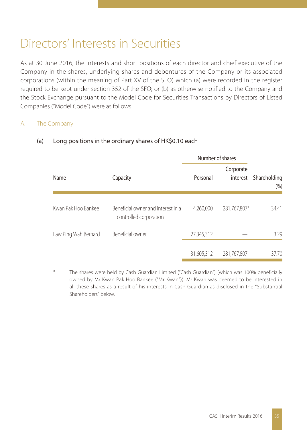## Directors' Interests in Securities

As at 30 June 2016, the interests and short positions of each director and chief executive of the Company in the shares, underlying shares and debentures of the Company or its associated corporations (within the meaning of Part XV of the SFO) which (a) were recorded in the register required to be kept under section 352 of the SFO; or (b) as otherwise notified to the Company and the Stock Exchange pursuant to the Model Code for Securities Transactions by Directors of Listed Companies ("Model Code") were as follows:

## A. The Company

|                      |                                                              | Number of shares |                       |                         |
|----------------------|--------------------------------------------------------------|------------------|-----------------------|-------------------------|
| Name                 | Capacity                                                     | Personal         | Corporate<br>interest | Shareholding<br>$(\% )$ |
| Kwan Pak Hoo Bankee  | Beneficial owner and interest in a<br>controlled corporation | 4,260,000        | 281,767,807*          | 34.41                   |
| Law Ping Wah Bernard | Beneficial owner                                             | 27,345,312       |                       | 3.29                    |
|                      |                                                              | 31,605,312       | 281,767,807           | 37.70                   |

## (a) Long positions in the ordinary shares of HK\$0.10 each

The shares were held by Cash Guardian Limited ("Cash Guardian") (which was 100% beneficially owned by Mr Kwan Pak Hoo Bankee ("Mr Kwan")). Mr Kwan was deemed to be interested in all these shares as a result of his interests in Cash Guardian as disclosed in the "Substantial Shareholders" below.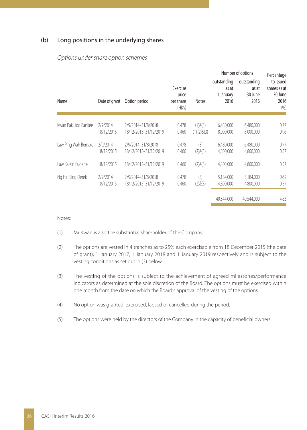#### (b) Long positions in the underlying shares

#### Options under share option schemes

|                      |                        |                                             |                                          |                             | Number of options                         | Percentage                              |                                                      |
|----------------------|------------------------|---------------------------------------------|------------------------------------------|-----------------------------|-------------------------------------------|-----------------------------------------|------------------------------------------------------|
| Name                 | Date of grant          | Option period                               | Exercise<br>price<br>per share<br>$(HK\$ | <b>Notes</b>                | outstanding<br>as at<br>1 January<br>2016 | outstanding<br>as at<br>30 June<br>2016 | to issued<br>shares as at<br>30 June<br>2016<br>(96) |
| Kwan Pak Hoo Bankee  | 2/9/2014<br>18/12/2015 | 2/9/2014-31/8/2018<br>18/12/2015-31/12/2019 | 0.478<br>0.460                           | $(1)$ & $(3)$<br>(1)(2)8(3) | 6,480,000<br>8,000,000                    | 6,480,000<br>8,000,000                  | 0.77<br>0.96                                         |
| Law Ping Wah Bernard | 2/9/2014<br>18/12/2015 | 2/9/2014-31/8/2018<br>18/12/2015-31/12/2019 | 0.478<br>0.460                           | (3)<br>(2)8(3)              | 6,480,000<br>4,800,000                    | 6,480,000<br>4,800,000                  | 0.77<br>0.57                                         |
| Law Ka Kin Eugene    | 18/12/2015             | 18/12/2015-31/12/2019                       | 0.460                                    | (2)8(3)                     | 4.800.000                                 | 4,800,000                               | 0.57                                                 |
| Ng Hin Sing Derek    | 2/9/2014<br>18/12/2015 | 2/9/2014-31/8/2018<br>18/12/2015-31/12/2019 | 0.478<br>0.460                           | (3)<br>(2)8(3)              | 5,184,000<br>4,800,000                    | 5,184,000<br>4,800,000                  | 0.62<br>0.57                                         |
|                      |                        |                                             |                                          |                             | 40,544,000                                | 40.544.000                              | 4.83                                                 |

Notes:

- (1) Mr Kwan is also the substantial shareholder of the Company.
- (2) The options are vested in 4 tranches as to 25% each exercisable from 18 December 2015 (the date of grant), 1 January 2017, 1 January 2018 and 1 January 2019 respectively and is subject to the vesting conditions as set out in (3) below.
- (3) The vesting of the options is subject to the achievement of agreed milestones/performance indicators as determined at the sole discretion of the Board. The options must be exercised within one month from the date on which the Board's approval of the vesting of the options.
- (4) No option was granted, exercised, lapsed or cancelled during the period.
- (5) The options were held by the directors of the Company in the capacity of beneficial owners.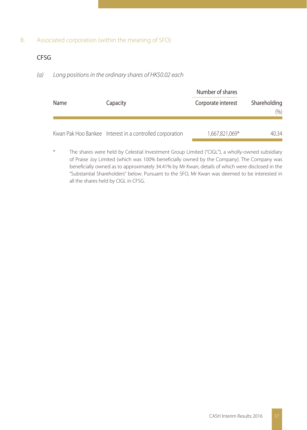## B. Associated corporation (within the meaning of SFO)

## CFSG

## (a) Long positions in the ordinary shares of HK\$0.02 each

|      |                                                          | Number of shares   | Shareholding<br>(% ) |  |
|------|----------------------------------------------------------|--------------------|----------------------|--|
| Name | Capacity                                                 | Corporate interest |                      |  |
|      | Kwan Pak Hoo Bankee Interest in a controlled corporation | 1,667,821,069*     | 40 34                |  |

The shares were held by Celestial Investment Group Limited ("CIGL"), a wholly-owned subsidiary of Praise Joy Limited (which was 100% beneficially owned by the Company). The Company was beneficially owned as to approximately 34.41% by Mr Kwan, details of which were disclosed in the "Substantial Shareholders" below. Pursuant to the SFO, Mr Kwan was deemed to be interested in all the shares held by CIGL in CFSG.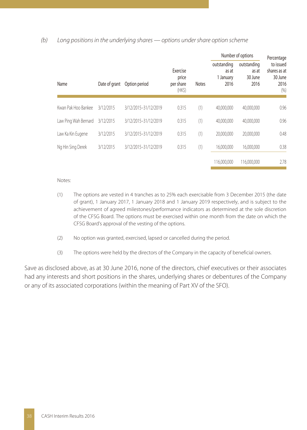### (b) Long positions in the underlying shares — options under share option scheme

|                      |               |                      |                                          |              | Number of options                         |                                         |                                                     |  | Percentage |
|----------------------|---------------|----------------------|------------------------------------------|--------------|-------------------------------------------|-----------------------------------------|-----------------------------------------------------|--|------------|
| Name                 | Date of grant | Option period        | Exercise<br>price<br>per share<br>$(HK\$ | <b>Notes</b> | outstanding<br>as at<br>1 January<br>2016 | outstanding<br>as at<br>30 June<br>2016 | to issued<br>shares as at<br>30 June<br>2016<br>(%) |  |            |
|                      |               |                      |                                          |              |                                           |                                         |                                                     |  |            |
| Kwan Pak Hoo Bankee  | 3/12/2015     | 3/12/2015-31/12/2019 | 0.315                                    | (1)          | 40.000.000                                | 40,000,000                              | 0.96                                                |  |            |
| Law Ping Wah Bernard | 3/12/2015     | 3/12/2015-31/12/2019 | 0.315                                    | (1)          | 40.000.000                                | 40.000.000                              | 0.96                                                |  |            |
| Law Ka Kin Eugene    | 3/12/2015     | 3/12/2015-31/12/2019 | 0.315                                    | (1)          | 20,000,000                                | 20.000.000                              | 0.48                                                |  |            |
| Ng Hin Sing Derek    | 3/12/2015     | 3/12/2015-31/12/2019 | 0.315                                    | (1)          | 16,000,000                                | 16,000,000                              | 0.38                                                |  |            |
|                      |               |                      |                                          |              | 116,000,000                               | 116,000,000                             | 2.78                                                |  |            |

#### Notes:

- (1) The options are vested in 4 tranches as to 25% each exercisable from 3 December 2015 (the date of grant), 1 January 2017, 1 January 2018 and 1 January 2019 respectively, and is subject to the achievement of agreed milestones/performance indicators as determined at the sole discretion of the CFSG Board. The options must be exercised within one month from the date on which the CFSG Board's approval of the vesting of the options.
- (2) No option was granted, exercised, lapsed or cancelled during the period.
- (3) The options were held by the directors of the Company in the capacity of beneficial owners.

Save as disclosed above, as at 30 June 2016, none of the directors, chief executives or their associates had any interests and short positions in the shares, underlying shares or debentures of the Company or any of its associated corporations (within the meaning of Part XV of the SFO).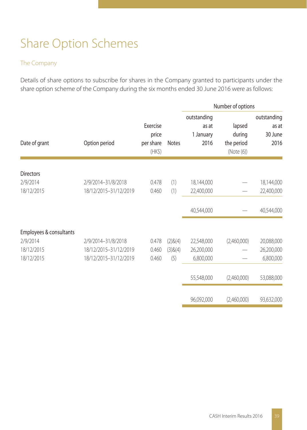# Share Option Schemes

## The Company

Details of share options to subscribe for shares in the Company granted to participants under the share option scheme of the Company during the six months ended 30 June 2016 were as follows:

|                         |                       |                                               |              |                                           | Number of options                            |                                         |
|-------------------------|-----------------------|-----------------------------------------------|--------------|-------------------------------------------|----------------------------------------------|-----------------------------------------|
| Date of grant           | Option period         | Exercise<br>price<br>per share<br>$(HK\zeta)$ | <b>Notes</b> | outstanding<br>as at<br>1 January<br>2016 | lapsed<br>during<br>the period<br>(Note (6)) | outstanding<br>as at<br>30 June<br>2016 |
| <b>Directors</b>        |                       |                                               |              |                                           |                                              |                                         |
| 2/9/2014                | 2/9/2014-31/8/2018    | 0.478                                         | (1)          | 18,144,000                                |                                              | 18,144,000                              |
| 18/12/2015              | 18/12/2015-31/12/2019 | 0.460                                         | (1)          | 22,400,000                                |                                              | 22,400,000                              |
|                         |                       |                                               |              | 40,544,000                                |                                              | 40,544,000                              |
| Employees & consultants |                       |                                               |              |                                           |                                              |                                         |
| 2/9/2014                | 2/9/2014-31/8/2018    | 0.478                                         | (2)8(4)      | 22,548,000                                | (2,460,000)                                  | 20,088,000                              |
| 18/12/2015              | 18/12/2015-31/12/2019 | 0.460                                         | (3)8(4)      | 26,200,000                                |                                              | 26,200,000                              |
| 18/12/2015              | 18/12/2015-31/12/2019 | 0.460                                         | (5)          | 6,800,000                                 |                                              | 6,800,000                               |
|                         |                       |                                               |              | 55,548,000                                | (2,460,000)                                  | 53,088,000                              |
|                         |                       |                                               |              | 96,092,000                                | (2,460,000)                                  | 93,632,000                              |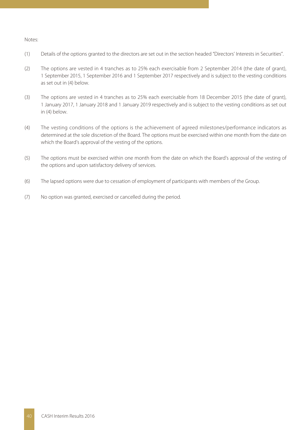#### Notes:

- (1) Details of the options granted to the directors are set out in the section headed "Directors' Interests in Securities".
- (2) The options are vested in 4 tranches as to 25% each exercisable from 2 September 2014 (the date of grant), 1 September 2015, 1 September 2016 and 1 September 2017 respectively and is subject to the vesting conditions as set out in (4) below.
- (3) The options are vested in 4 tranches as to 25% each exercisable from 18 December 2015 (the date of grant), 1 January 2017, 1 January 2018 and 1 January 2019 respectively and is subject to the vesting conditions as set out in (4) below.
- (4) The vesting conditions of the options is the achievement of agreed milestones/performance indicators as determined at the sole discretion of the Board. The options must be exercised within one month from the date on which the Board's approval of the vesting of the options.
- (5) The options must be exercised within one month from the date on which the Board's approval of the vesting of the options and upon satisfactory delivery of services.
- (6) The lapsed options were due to cessation of employment of participants with members of the Group.
- (7) No option was granted, exercised or cancelled during the period.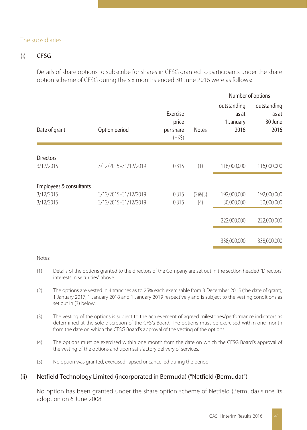### The subsidiaries

## (i) CFSG

Details of share options to subscribe for shares in CFSG granted to participants under the share option scheme of CFSG during the six months ended 30 June 2016 were as follows:

|                         |                      |                                               |              | Number of options                         |                                         |
|-------------------------|----------------------|-----------------------------------------------|--------------|-------------------------------------------|-----------------------------------------|
| Date of grant           | Option period        | Exercise<br>price<br>per share<br>$(HK\zeta)$ | <b>Notes</b> | outstanding<br>as at<br>1 January<br>2016 | outstanding<br>as at<br>30 June<br>2016 |
| <b>Directors</b>        |                      |                                               |              |                                           |                                         |
| 3/12/2015               | 3/12/2015-31/12/2019 | 0.315                                         | (1)          | 116,000,000                               | 116,000,000                             |
| Employees & consultants |                      |                                               |              |                                           |                                         |
| 3/12/2015               | 3/12/2015-31/12/2019 | 0.315                                         | (2)8(3)      | 192,000,000                               | 192,000,000                             |
| 3/12/2015               | 3/12/2015-31/12/2019 | 0.315                                         | (4)          | 30,000,000                                | 30,000,000                              |
|                         |                      |                                               |              | 222,000,000                               | 222,000,000                             |
|                         |                      |                                               |              | 338,000,000                               | 338,000,000                             |

#### Notes:

- (1) Details of the options granted to the directors of the Company are set out in the section headed "Directors' interests in securities" above.
- (2) The options are vested in 4 tranches as to 25% each exercisable from 3 December 2015 (the date of grant), 1 January 2017, 1 January 2018 and 1 January 2019 respectively and is subject to the vesting conditions as set out in (3) below.
- (3) The vesting of the options is subject to the achievement of agreed milestones/performance indicators as determined at the sole discretion of the CFSG Board. The options must be exercised within one month from the date on which the CFSG Board's approval of the vesting of the options.
- (4) The options must be exercised within one month from the date on which the CFSG Board's approval of the vesting of the options and upon satisfactory delivery of services.
- (5) No option was granted, exercised, lapsed or cancelled during the period.

### (ii) Netfield Technology Limited (incorporated in Bermuda) ("Netfield (Bermuda)")

No option has been granted under the share option scheme of Netfield (Bermuda) since its adoption on 6 June 2008.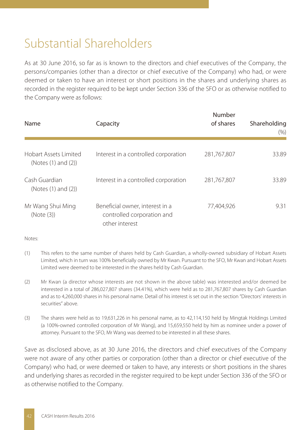# Substantial Shareholders

As at 30 June 2016, so far as is known to the directors and chief executives of the Company, the persons/companies (other than a director or chief executive of the Company) who had, or were deemed or taken to have an interest or short positions in the shares and underlying shares as recorded in the register required to be kept under Section 336 of the SFO or as otherwise notified to the Company were as follows:

| Name                                         | Capacity                                                                        | Number<br>of shares | Shareholding<br>(% ) |
|----------------------------------------------|---------------------------------------------------------------------------------|---------------------|----------------------|
| Hobart Assets Limited<br>(Notes (1) and (2)) | Interest in a controlled corporation                                            | 281,767,807         | 33.89                |
| Cash Guardian<br>(Notes (1) and (2))         | Interest in a controlled corporation                                            | 281,767,807         | 33.89                |
| Mr Wang Shui Ming<br>(Note (3))              | Beneficial owner, interest in a<br>controlled corporation and<br>other interest | 77,404,926          | 9.31                 |

Notes:

- (1) This refers to the same number of shares held by Cash Guardian, a wholly-owned subsidiary of Hobart Assets Limited, which in turn was 100% beneficially owned by Mr Kwan. Pursuant to the SFO, Mr Kwan and Hobart Assets Limited were deemed to be interested in the shares held by Cash Guardian.
- (2) Mr Kwan (a director whose interests are not shown in the above table) was interested and/or deemed be interested in a total of 286,027,807 shares (34.41%), which were held as to 281,767,807 shares by Cash Guardian and as to 4,260,000 shares in his personal name. Detail of his interest is set out in the section "Directors' interests in securities" above.
- (3) The shares were held as to 19,631,226 in his personal name, as to 42,114,150 held by Mingtak Holdings Limited (a 100%-owned controlled corporation of Mr Wang), and 15,659,550 held by him as nominee under a power of attorney. Pursuant to the SFO, Mr Wang was deemed to be interested in all these shares.

Save as disclosed above, as at 30 June 2016, the directors and chief executives of the Company were not aware of any other parties or corporation (other than a director or chief executive of the Company) who had, or were deemed or taken to have, any interests or short positions in the shares and underlying shares as recorded in the register required to be kept under Section 336 of the SFO or as otherwise notified to the Company.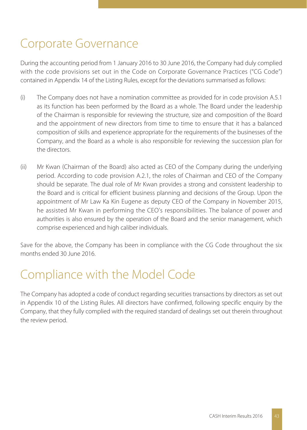# Corporate Governance

During the accounting period from 1 January 2016 to 30 June 2016, the Company had duly complied with the code provisions set out in the Code on Corporate Governance Practices ("CG Code") contained in Appendix 14 of the Listing Rules, except for the deviations summarised as follows:

- (i) The Company does not have a nomination committee as provided for in code provision A.5.1 as its function has been performed by the Board as a whole. The Board under the leadership of the Chairman is responsible for reviewing the structure, size and composition of the Board and the appointment of new directors from time to time to ensure that it has a balanced composition of skills and experience appropriate for the requirements of the businesses of the Company, and the Board as a whole is also responsible for reviewing the succession plan for the directors.
- (ii) Mr Kwan (Chairman of the Board) also acted as CEO of the Company during the underlying period. According to code provision A.2.1, the roles of Chairman and CEO of the Company should be separate. The dual role of Mr Kwan provides a strong and consistent leadership to the Board and is critical for efficient business planning and decisions of the Group. Upon the appointment of Mr Law Ka Kin Eugene as deputy CEO of the Company in November 2015, he assisted Mr Kwan in performing the CEO's responsibilities. The balance of power and authorities is also ensured by the operation of the Board and the senior management, which comprise experienced and high caliber individuals.

Save for the above, the Company has been in compliance with the CG Code throughout the six months ended 30 June 2016.

## Compliance with the Model Code

The Company has adopted a code of conduct regarding securities transactions by directors as set out in Appendix 10 of the Listing Rules. All directors have confirmed, following specific enquiry by the Company, that they fully complied with the required standard of dealings set out therein throughout the review period.